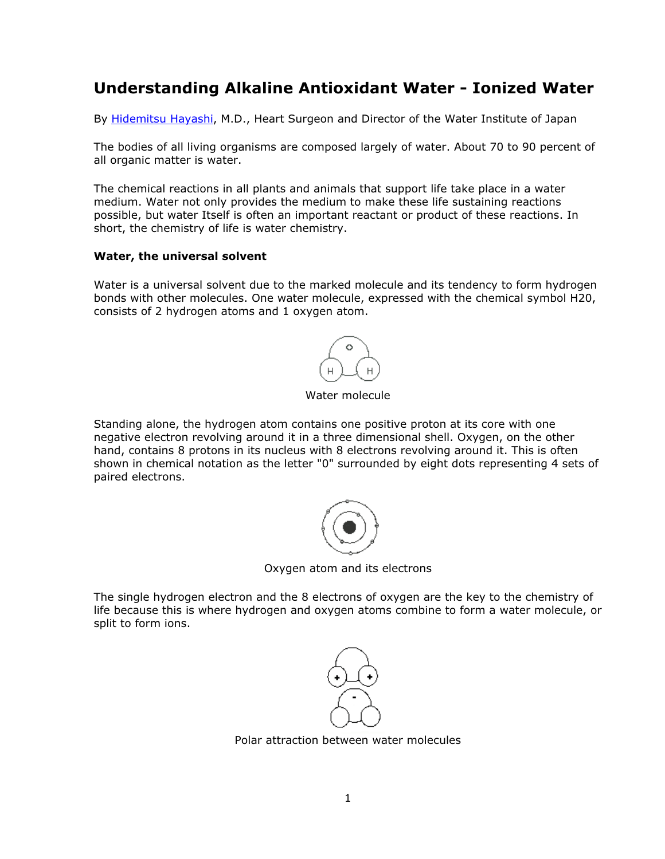# **Understanding Alkaline Antioxidant Water - Ionized Water**

By Hidemitsu Hayashi, M.D., Heart Surgeon and Director of the Water Institute of Japan

The bodies of all living organisms are composed largely of water. About 70 to 90 percent of all organic matter is water.

The chemical reactions in all plants and animals that support life take place in a water medium. Water not only provides the medium to make these life sustaining reactions possible, but water Itself is often an important reactant or product of these reactions. In short, the chemistry of life is water chemistry.

#### **Water, the universal solvent**

Water is a universal solvent due to the marked molecule and its tendency to form hydrogen bonds with other molecules. One water molecule, expressed with the chemical symbol H20, consists of 2 hydrogen atoms and 1 oxygen atom.



Water molecule

Standing alone, the hydrogen atom contains one positive proton at its core with one negative electron revolving around it in a three dimensional shell. Oxygen, on the other hand, contains 8 protons in its nucleus with 8 electrons revolving around it. This is often shown in chemical notation as the letter "0" surrounded by eight dots representing 4 sets of paired electrons.



Oxygen atom and its electrons

The single hydrogen electron and the 8 electrons of oxygen are the key to the chemistry of life because this is where hydrogen and oxygen atoms combine to form a water molecule, or split to form ions.



Polar attraction between water molecules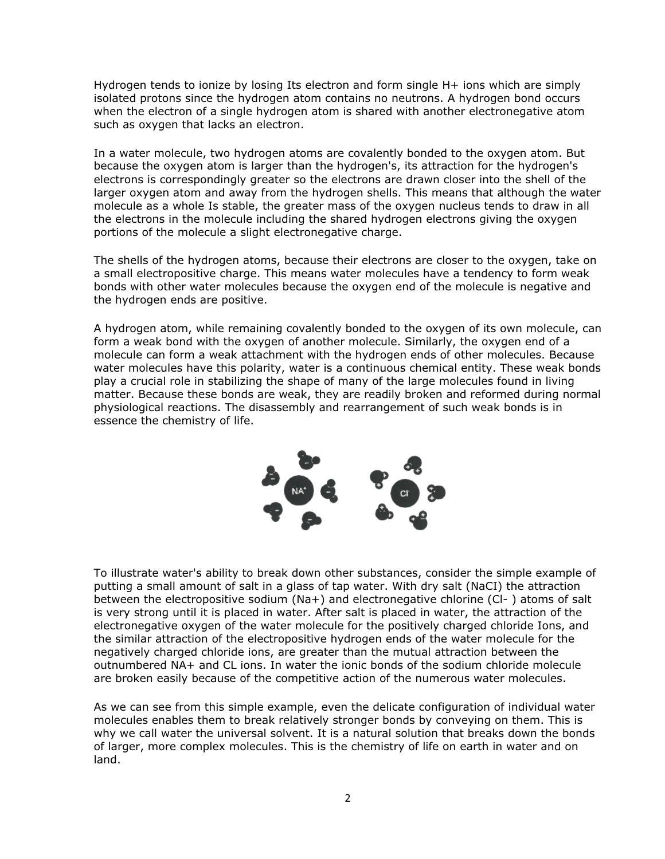Hydrogen tends to ionize by losing Its electron and form single H+ ions which are simply isolated protons since the hydrogen atom contains no neutrons. A hydrogen bond occurs when the electron of a single hydrogen atom is shared with another electronegative atom such as oxygen that lacks an electron.

In a water molecule, two hydrogen atoms are covalently bonded to the oxygen atom. But because the oxygen atom is larger than the hydrogen's, its attraction for the hydrogen's electrons is correspondingly greater so the electrons are drawn closer into the shell of the larger oxygen atom and away from the hydrogen shells. This means that although the water molecule as a whole Is stable, the greater mass of the oxygen nucleus tends to draw in all the electrons in the molecule including the shared hydrogen electrons giving the oxygen portions of the molecule a slight electronegative charge.

The shells of the hydrogen atoms, because their electrons are closer to the oxygen, take on a small electropositive charge. This means water molecules have a tendency to form weak bonds with other water molecules because the oxygen end of the molecule is negative and the hydrogen ends are positive.

A hydrogen atom, while remaining covalently bonded to the oxygen of its own molecule, can form a weak bond with the oxygen of another molecule. Similarly, the oxygen end of a molecule can form a weak attachment with the hydrogen ends of other molecules. Because water molecules have this polarity, water is a continuous chemical entity. These weak bonds play a crucial role in stabilizing the shape of many of the large molecules found in living matter. Because these bonds are weak, they are readily broken and reformed during normal physiological reactions. The disassembly and rearrangement of such weak bonds is in essence the chemistry of life.



To illustrate water's ability to break down other substances, consider the simple example of putting a small amount of salt in a glass of tap water. With dry salt (NaCI) the attraction between the electropositive sodium (Na+) and electronegative chlorine (Cl- ) atoms of salt is very strong until it is placed in water. After salt is placed in water, the attraction of the electronegative oxygen of the water molecule for the positively charged chloride Ions, and the similar attraction of the electropositive hydrogen ends of the water molecule for the negatively charged chloride ions, are greater than the mutual attraction between the outnumbered NA+ and CL ions. In water the ionic bonds of the sodium chloride molecule are broken easily because of the competitive action of the numerous water molecules.

As we can see from this simple example, even the delicate configuration of individual water molecules enables them to break relatively stronger bonds by conveying on them. This is why we call water the universal solvent. It is a natural solution that breaks down the bonds of larger, more complex molecules. This is the chemistry of life on earth in water and on land.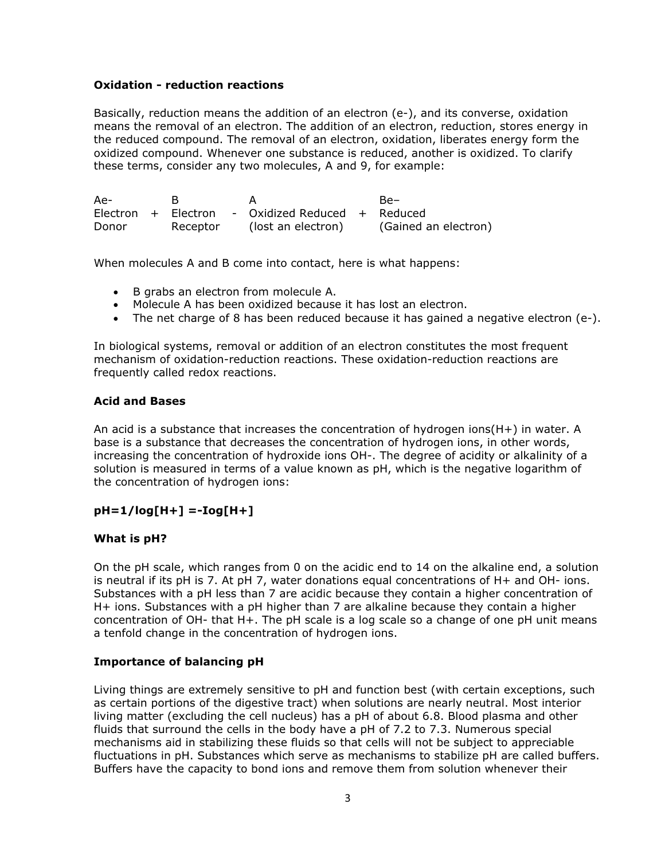#### **Oxidation - reduction reactions**

Basically, reduction means the addition of an electron (e-), and its converse, oxidation means the removal of an electron. The addition of an electron, reduction, stores energy in the reduced compound. The removal of an electron, oxidation, liberates energy form the oxidized compound. Whenever one substance is reduced, another is oxidized. To clarify these terms, consider any two molecules, A and 9, for example:

| Ae-   |          |                                                  | $Be-$                |
|-------|----------|--------------------------------------------------|----------------------|
|       |          | Electron + Electron - Oxidized Reduced + Reduced |                      |
| Donor | Receptor | (lost an electron)                               | (Gained an electron) |

When molecules A and B come into contact, here is what happens:

- B grabs an electron from molecule A.
- Molecule A has been oxidized because it has lost an electron.
- The net charge of 8 has been reduced because it has gained a negative electron (e-).

In biological systems, removal or addition of an electron constitutes the most frequent mechanism of oxidation-reduction reactions. These oxidation-reduction reactions are frequently called redox reactions.

#### **Acid and Bases**

An acid is a substance that increases the concentration of hydrogen ions(H+) in water. A base is a substance that decreases the concentration of hydrogen ions, in other words, increasing the concentration of hydroxide ions OH-. The degree of acidity or alkalinity of a solution is measured in terms of a value known as pH, which is the negative logarithm of the concentration of hydrogen ions:

## **pH=1/log[H+] =-Iog[H+]**

#### **What is pH?**

On the pH scale, which ranges from 0 on the acidic end to 14 on the alkaline end, a solution is neutral if its pH is 7. At pH 7, water donations equal concentrations of H+ and OH- ions. Substances with a pH less than 7 are acidic because they contain a higher concentration of H+ ions. Substances with a pH higher than 7 are alkaline because they contain a higher concentration of OH- that H+. The pH scale is a log scale so a change of one pH unit means a tenfold change in the concentration of hydrogen ions.

## **Importance of balancing pH**

Living things are extremely sensitive to pH and function best (with certain exceptions, such as certain portions of the digestive tract) when solutions are nearly neutral. Most interior living matter (excluding the cell nucleus) has a pH of about 6.8. Blood plasma and other fluids that surround the cells in the body have a pH of 7.2 to 7.3. Numerous special mechanisms aid in stabilizing these fluids so that cells will not be subject to appreciable fluctuations in pH. Substances which serve as mechanisms to stabilize pH are called buffers. Buffers have the capacity to bond ions and remove them from solution whenever their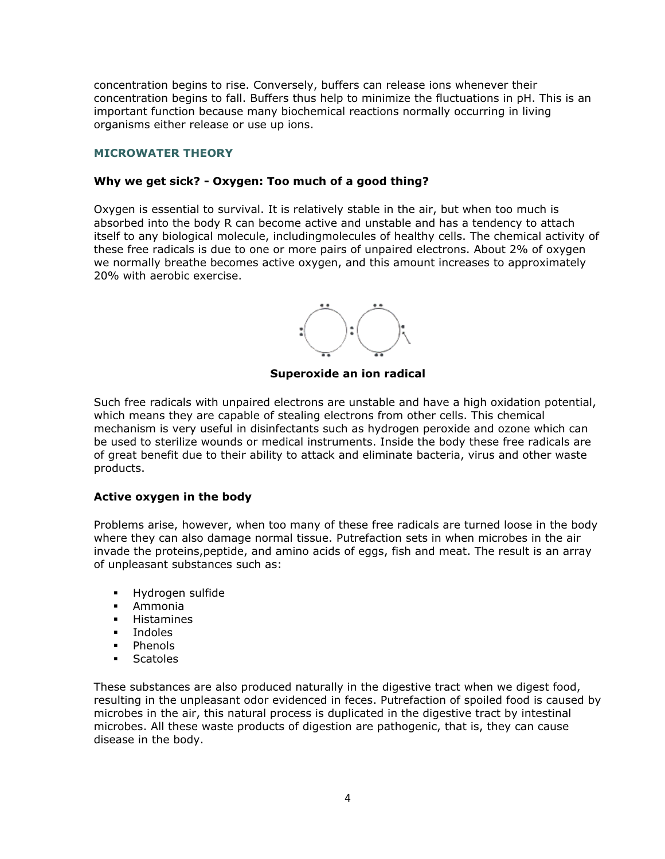concentration begins to rise. Conversely, buffers can release ions whenever their concentration begins to fall. Buffers thus help to minimize the fluctuations in pH. This is an important function because many biochemical reactions normally occurring in living organisms either release or use up ions.

## **MICROWATER THEORY**

## **Why we get sick? - Oxygen: Too much of a good thing?**

Oxygen is essential to survival. It is relatively stable in the air, but when too much is absorbed into the body R can become active and unstable and has a tendency to attach itself to any biological molecule, includingmolecules of healthy cells. The chemical activity of these free radicals is due to one or more pairs of unpaired electrons. About 2% of oxygen we normally breathe becomes active oxygen, and this amount increases to approximately 20% with aerobic exercise.



**Superoxide an ion radical**

Such free radicals with unpaired electrons are unstable and have a high oxidation potential, which means they are capable of stealing electrons from other cells. This chemical mechanism is very useful in disinfectants such as hydrogen peroxide and ozone which can be used to sterilize wounds or medical instruments. Inside the body these free radicals are of great benefit due to their ability to attack and eliminate bacteria, virus and other waste products.

## **Active oxygen in the body**

Problems arise, however, when too many of these free radicals are turned loose in the body where they can also damage normal tissue. Putrefaction sets in when microbes in the air invade the proteins,peptide, and amino acids of eggs, fish and meat. The result is an array of unpleasant substances such as:

- -Hydrogen sulfide
- -Ammonia
- -Histamines
- Indoles
- -Phenols
- -**Scatoles**

These substances are also produced naturally in the digestive tract when we digest food, resulting in the unpleasant odor evidenced in feces. Putrefaction of spoiled food is caused by microbes in the air, this natural process is duplicated in the digestive tract by intestinal microbes. All these waste products of digestion are pathogenic, that is, they can cause disease in the body.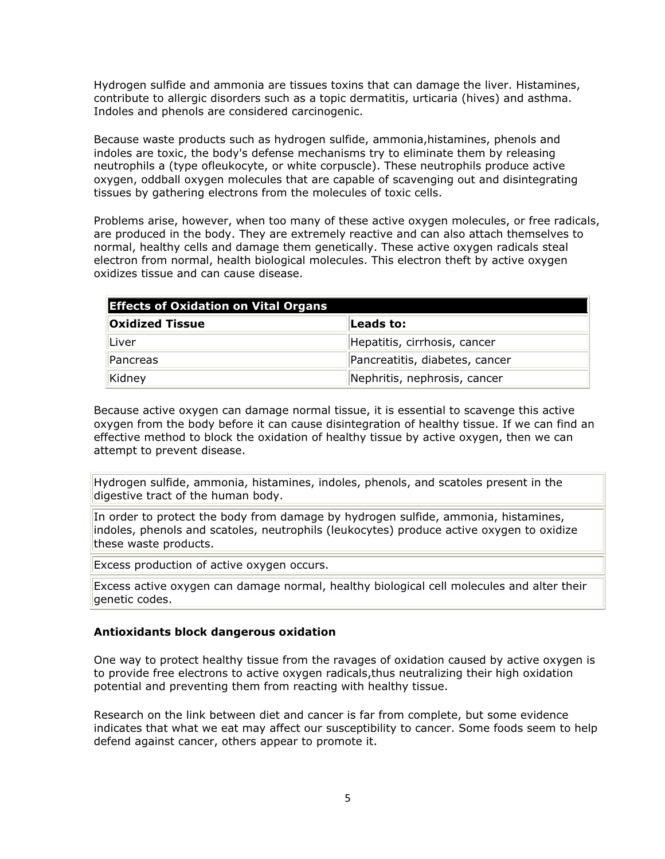Hydrogen sulfide and ammonia are tissues toxins that can damage the liver. Histamines, contribute to allergic disorders such as a topic dermatitis, urticaria (hives) and asthma. Indoles and phenols are considered carcinogenic.

Because waste products such as hydrogen sulfide, ammonia,histamines, phenols and indoles are toxic, the body's defense mechanisms try to eliminate them by releasing neutrophils a (type ofleukocyte, or white corpuscle). These neutrophils produce active oxygen, oddball oxygen molecules that are capable of scavenging out and disintegrating tissues by gathering electrons from the molecules of toxic cells.

Problems arise, however, when too many of these active oxygen molecules, or free radicals, are produced in the body. They are extremely reactive and can also attach themselves to normal, healthy cells and damage them genetically. These active oxygen radicals steal electron from normal, health biological molecules. This electron theft by active oxygen oxidizes tissue and can cause disease.

| <b>Effects of Oxidation on Vital Organs</b> |                                |  |  |  |
|---------------------------------------------|--------------------------------|--|--|--|
| <b>Oxidized Tissue</b>                      | Leads to:                      |  |  |  |
| <b>Liver</b>                                | Hepatitis, cirrhosis, cancer   |  |  |  |
| Pancreas                                    | Pancreatitis, diabetes, cancer |  |  |  |
| Kidney                                      | Nephritis, nephrosis, cancer   |  |  |  |

Because active oxygen can damage normal tissue, it is essential to scavenge this active oxygen from the body before it can cause disintegration of healthy tissue. If we can find an effective method to block the oxidation of healthy tissue by active oxygen, then we can attempt to prevent disease.

Hydrogen sulfide, ammonia, histamines, indoles, phenols, and scatoles present in the digestive tract of the human body.

In order to protect the body from damage by hydrogen sulfide, ammonia, histamines, indoles, phenols and scatoles, neutrophils (leukocytes) produce active oxygen to oxidize these waste products.

Excess production of active oxygen occurs.

Excess active oxygen can damage normal, healthy biological cell molecules and alter their genetic codes.

#### **Antioxidants block dangerous oxidation**

One way to protect healthy tissue from the ravages of oxidation caused by active oxygen is to provide free electrons to active oxygen radicals,thus neutralizing their high oxidation potential and preventing them from reacting with healthy tissue.

Research on the link between diet and cancer is far from complete, but some evidence indicates that what we eat may affect our susceptibility to cancer. Some foods seem to help defend against cancer, others appear to promote it.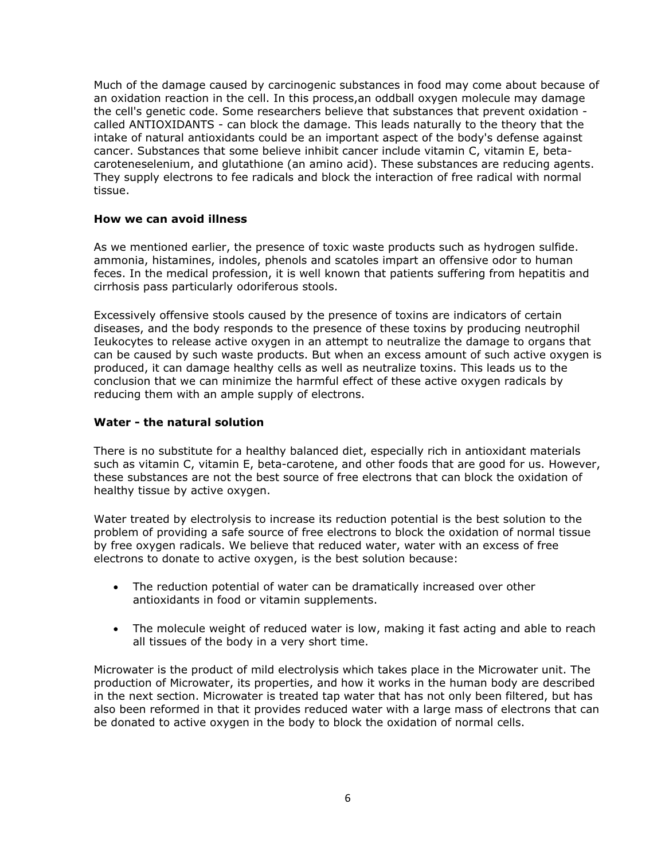Much of the damage caused by carcinogenic substances in food may come about because of an oxidation reaction in the cell. In this process,an oddball oxygen molecule may damage the cell's genetic code. Some researchers believe that substances that prevent oxidation called ANTIOXIDANTS - can block the damage. This leads naturally to the theory that the intake of natural antioxidants could be an important aspect of the body's defense against cancer. Substances that some believe inhibit cancer include vitamin C, vitamin E, betacaroteneselenium, and glutathione (an amino acid). These substances are reducing agents. They supply electrons to fee radicals and block the interaction of free radical with normal tissue.

#### **How we can avoid illness**

As we mentioned earlier, the presence of toxic waste products such as hydrogen sulfide. ammonia, histamines, indoles, phenols and scatoles impart an offensive odor to human feces. In the medical profession, it is well known that patients suffering from hepatitis and cirrhosis pass particularly odoriferous stools.

Excessively offensive stools caused by the presence of toxins are indicators of certain diseases, and the body responds to the presence of these toxins by producing neutrophil Ieukocytes to release active oxygen in an attempt to neutralize the damage to organs that can be caused by such waste products. But when an excess amount of such active oxygen is produced, it can damage healthy cells as well as neutralize toxins. This leads us to the conclusion that we can minimize the harmful effect of these active oxygen radicals by reducing them with an ample supply of electrons.

#### **Water - the natural solution**

There is no substitute for a healthy balanced diet, especially rich in antioxidant materials such as vitamin C, vitamin E, beta-carotene, and other foods that are good for us. However, these substances are not the best source of free electrons that can block the oxidation of healthy tissue by active oxygen.

Water treated by electrolysis to increase its reduction potential is the best solution to the problem of providing a safe source of free electrons to block the oxidation of normal tissue by free oxygen radicals. We believe that reduced water, water with an excess of free electrons to donate to active oxygen, is the best solution because:

- The reduction potential of water can be dramatically increased over other antioxidants in food or vitamin supplements.
- The molecule weight of reduced water is low, making it fast acting and able to reach all tissues of the body in a very short time.

Microwater is the product of mild electrolysis which takes place in the Microwater unit. The production of Microwater, its properties, and how it works in the human body are described in the next section. Microwater is treated tap water that has not only been filtered, but has also been reformed in that it provides reduced water with a large mass of electrons that can be donated to active oxygen in the body to block the oxidation of normal cells.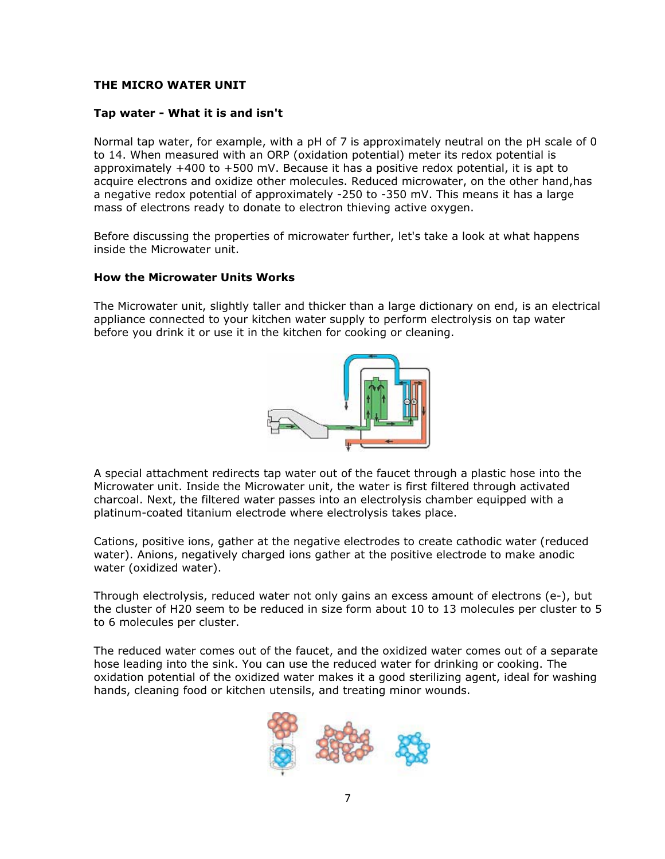# **THE MICRO WATER UNIT**

## **Tap water - What it is and isn't**

Normal tap water, for example, with a pH of 7 is approximately neutral on the pH scale of 0 to 14. When measured with an ORP (oxidation potential) meter its redox potential is approximately  $+400$  to  $+500$  mV. Because it has a positive redox potential, it is apt to acquire electrons and oxidize other molecules. Reduced microwater, on the other hand,has a negative redox potential of approximately -250 to -350 mV. This means it has a large mass of electrons ready to donate to electron thieving active oxygen.

Before discussing the properties of microwater further, let's take a look at what happens inside the Microwater unit.

## **How the Microwater Units Works**

The Microwater unit, slightly taller and thicker than a large dictionary on end, is an electrical appliance connected to your kitchen water supply to perform electrolysis on tap water before you drink it or use it in the kitchen for cooking or cleaning.



A special attachment redirects tap water out of the faucet through a plastic hose into the Microwater unit. Inside the Microwater unit, the water is first filtered through activated charcoal. Next, the filtered water passes into an electrolysis chamber equipped with a platinum-coated titanium electrode where electrolysis takes place.

Cations, positive ions, gather at the negative electrodes to create cathodic water (reduced water). Anions, negatively charged ions gather at the positive electrode to make anodic water (oxidized water).

Through electrolysis, reduced water not only gains an excess amount of electrons (e-), but the cluster of H20 seem to be reduced in size form about 10 to 13 molecules per cluster to 5 to 6 molecules per cluster.

The reduced water comes out of the faucet, and the oxidized water comes out of a separate hose leading into the sink. You can use the reduced water for drinking or cooking. The oxidation potential of the oxidized water makes it a good sterilizing agent, ideal for washing hands, cleaning food or kitchen utensils, and treating minor wounds.

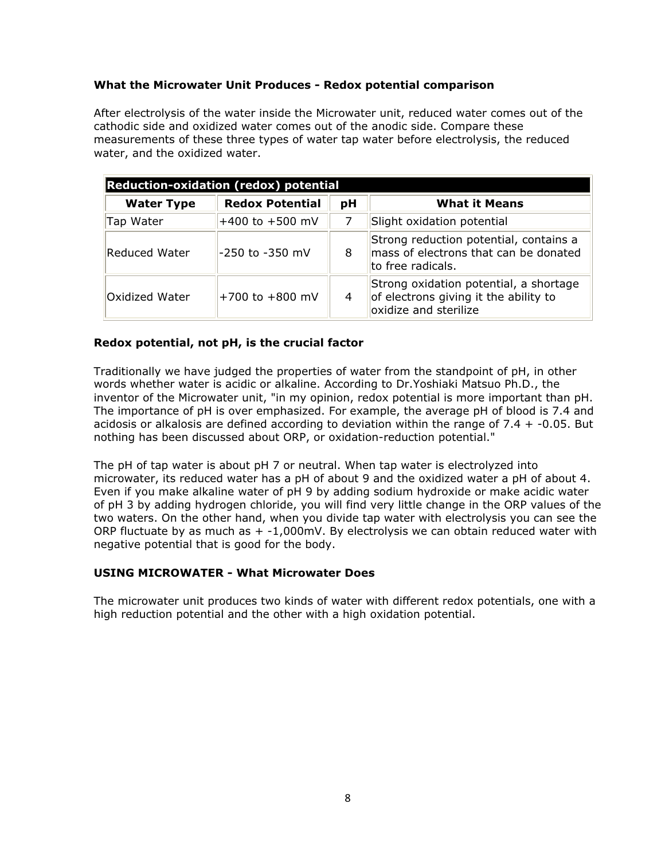# **What the Microwater Unit Produces - Redox potential comparison**

After electrolysis of the water inside the Microwater unit, reduced water comes out of the cathodic side and oxidized water comes out of the anodic side. Compare these measurements of these three types of water tap water before electrolysis, the reduced water, and the oxidized water.

| <b>Reduction-oxidation (redox) potential</b> |                        |    |                                                                                                          |  |  |  |
|----------------------------------------------|------------------------|----|----------------------------------------------------------------------------------------------------------|--|--|--|
| <b>Water Type</b>                            | <b>Redox Potential</b> | рH | <b>What it Means</b>                                                                                     |  |  |  |
| Tap Water                                    | +400 to +500 mV        | 7  | Slight oxidation potential                                                                               |  |  |  |
| Reduced Water                                | -250 to -350 mV        | 8  | Strong reduction potential, contains a<br>mass of electrons that can be donated<br>to free radicals.     |  |  |  |
| Oxidized Water                               | +700 to +800 mV        | 4  | Strong oxidation potential, a shortage<br>of electrons giving it the ability to<br>oxidize and sterilize |  |  |  |

# **Redox potential, not pH, is the crucial factor**

Traditionally we have judged the properties of water from the standpoint of pH, in other words whether water is acidic or alkaline. According to Dr.Yoshiaki Matsuo Ph.D., the inventor of the Microwater unit, "in my opinion, redox potential is more important than pH. The importance of pH is over emphasized. For example, the average pH of blood is 7.4 and acidosis or alkalosis are defined according to deviation within the range of 7.4 + -0.05. But nothing has been discussed about ORP, or oxidation-reduction potential."

The pH of tap water is about pH 7 or neutral. When tap water is electrolyzed into microwater, its reduced water has a pH of about 9 and the oxidized water a pH of about 4. Even if you make alkaline water of pH 9 by adding sodium hydroxide or make acidic water of pH 3 by adding hydrogen chloride, you will find very little change in the ORP values of the two waters. On the other hand, when you divide tap water with electrolysis you can see the ORP fluctuate by as much as  $+$  -1,000mV. By electrolysis we can obtain reduced water with negative potential that is good for the body.

## **USING MICROWATER - What Microwater Does**

The microwater unit produces two kinds of water with different redox potentials, one with a high reduction potential and the other with a high oxidation potential.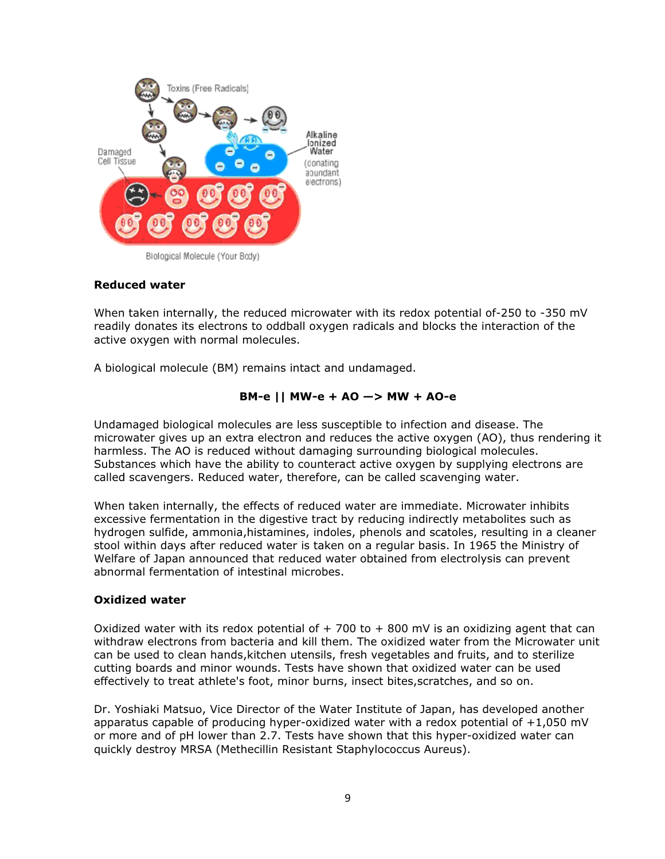

Biological Molecule (Your Body)

# **Reduced water**

When taken internally, the reduced microwater with its redox potential of-250 to -350 mV readily donates its electrons to oddball oxygen radicals and blocks the interaction of the active oxygen with normal molecules.

A biological molecule (BM) remains intact and undamaged.

# **B M-e || MW W-e + AO — —> MW + AO-e**

Undamaged biological molecules are less susceptible to infection and disease. The microwater gives up an extra electron and reduces the active oxygen (AO), thus rendering it harmless. The AO is reduced without damaging surrounding biological molecules. Substances which have the ability to counteract active oxygen by supplying electrons are called scavengers. Reduced water, therefore, can be called scavenging water.

When taken internally, the effects of reduced water are immediate. Microwater inhibits excessive fermentation in the digestive tract by reducing indirectly metabolites such as hydrogen sulfide, ammonia,histamines, indoles, phenols and scatoles, resulting in a cleaner stool within days after reduced water is taken on a regular basis. In 1965 the Ministry of Welfare of Japan announced that reduced water obtained from electrolysis can prevent abnormal fermentation of intestinal microbes.

## **Oxidi ized water**

Oxidized water with its redox potential of  $+$  700 to  $+$  800 mV is an oxidizing agent that can withdraw electrons from bacteria and kill them. The oxidized water from the Microwater unit can be used to clean hands, kitchen utensils, fresh vegetables and fruits, and to sterilize cutting boards and minor wounds. Tests have shown that oxidized water can be used effectively to treat athlete's foot, minor burns, insect bites,scratches, and so on. cutting boards and minor wounds. Tests have shown that oxidized water can be used<br>effectively to treat athlete's foot, minor burns, insect bites,scratches, and so on.<br>Dr. Yoshiaki Matsuo, Vice Director of the Water Institu

apparatus capable of producing hyper-oxidized water with a redox potential of  $+1,050$  mV or more and of pH lower than 2.7. Tests have shown that this hyper-oxidized water can quickly destroy MRSA (Methecillin Resistant Staphylococcus Aureus).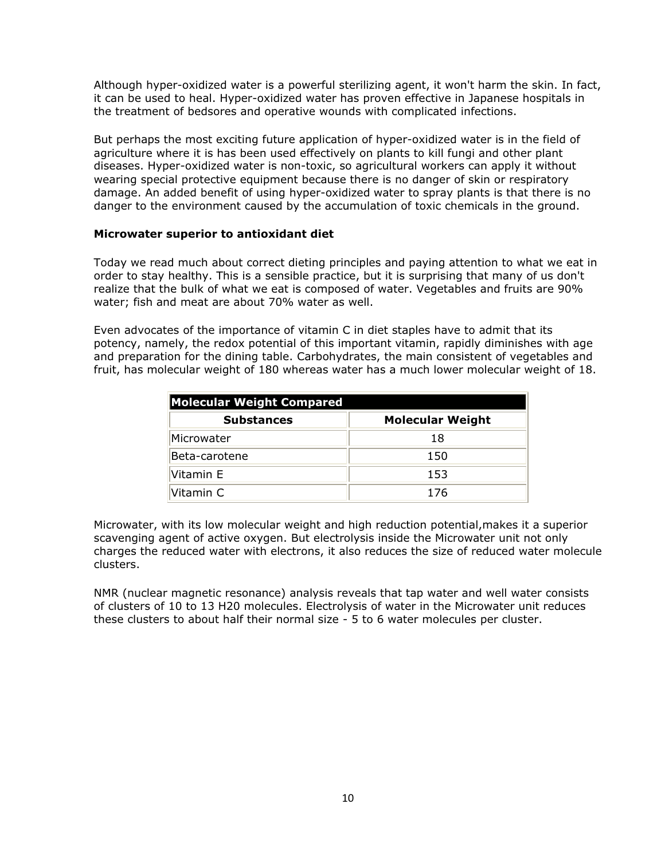Although hyper-oxidized water is a powerful sterilizing agent, it won't harm the skin. In fact, it can be used to heal. Hyper-oxidized water has proven effective in Japanese hospitals in the treatment of bedsores and operative wounds with complicated infections.

But perhaps the most exciting future application of hyper-oxidized water is in the field of agriculture where it is has been used effectively on plants to kill fungi and other plant diseases. Hyper-oxidized water is non-toxic, so agricultural workers can apply it without wearing special protective equipment because there is no danger of skin or respiratory damage. An added benefit of using hyper-oxidized water to spray plants is that there is no danger to the environment caused by the accumulation of toxic chemicals in the ground.

#### **Microwater superior to antioxidant diet**

Today we read much about correct dieting principles and paying attention to what we eat in order to stay healthy. This is a sensible practice, but it is surprising that many of us don't realize that the bulk of what we eat is composed of water. Vegetables and fruits are 90% water; fish and meat are about 70% water as well.

Even advocates of the importance of vitamin C in diet staples have to admit that its potency, namely, the redox potential of this important vitamin, rapidly diminishes with age and preparation for the dining table. Carbohydrates, the main consistent of vegetables and fruit, has molecular weight of 180 whereas water has a much lower molecular weight of 18.

| <b>Molecular Weight Compared</b> |                         |  |
|----------------------------------|-------------------------|--|
| <b>Substances</b>                | <b>Molecular Weight</b> |  |
| Microwater                       | 18                      |  |
| Beta-carotene                    | 150                     |  |
| Vitamin E                        | 153                     |  |
| Vitamin C                        | 176                     |  |

Microwater, with its low molecular weight and high reduction potential,makes it a superior scavenging agent of active oxygen. But electrolysis inside the Microwater unit not only charges the reduced water with electrons, it also reduces the size of reduced water molecule clusters.

NMR (nuclear magnetic resonance) analysis reveals that tap water and well water consists of clusters of 10 to 13 H20 molecules. Electrolysis of water in the Microwater unit reduces these clusters to about half their normal size - 5 to 6 water molecules per cluster.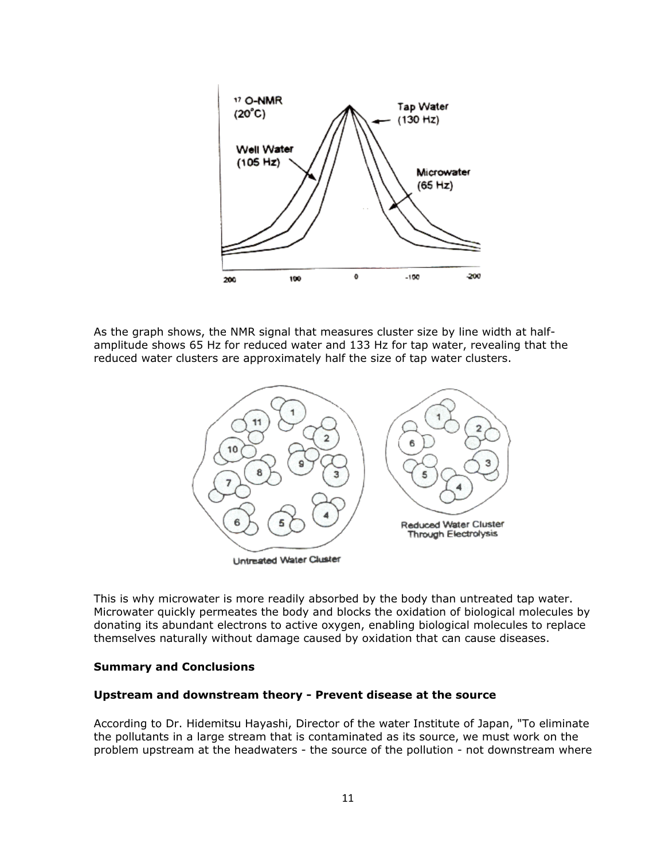

As the graph shows, the NMR signal that measures cluster size by line width at halfamplitude shows 65 Hz for reduced water and 133 Hz for tap water, revealing that the reduced water clusters are approximately half the size of tap water clusters.



This is why microwater is more readily absorbed by the body than untreated tap water. Microwater quickly permeates the body and blocks the oxidation of biological molecules by donating its abundant electrons to active oxygen, enabling biological molecules to replace themselves naturally without damage caused by oxidation that can cause diseases.

#### **Summary and Conclusions**

#### **Upstream and downstream theory - Prevent disease at the source**

According to Dr. Hidemitsu Hayashi, Director of the water Institute of Japan, "To eliminate the pollutants in a large stream that is contaminated as its source, we must work on the problem upstream at the headwaters - the source of the pollution - not downstream where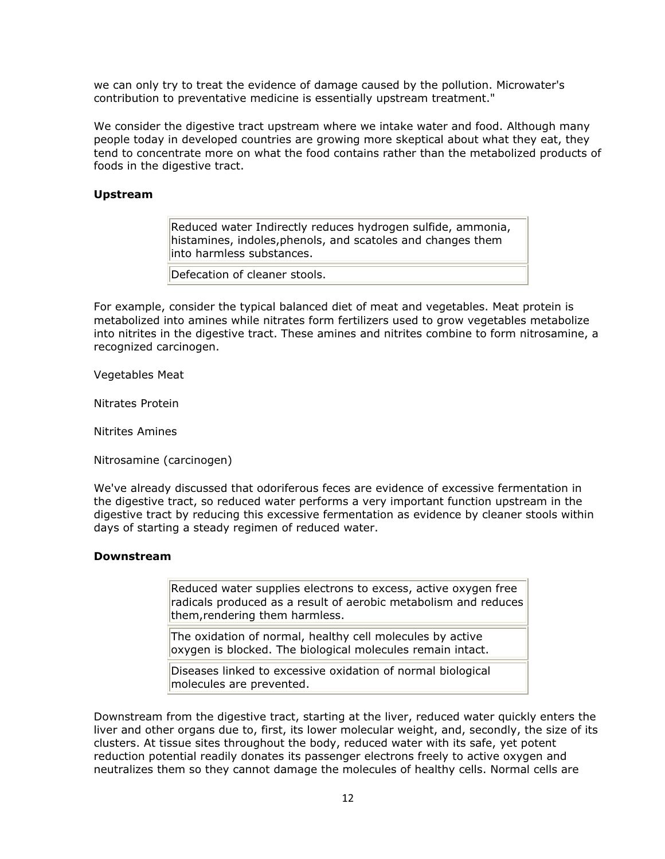we can only try to treat the evidence of damage caused by the pollution. Microwater's contribution to preventative medicine is essentially upstream treatment."

We consider the digestive tract upstream where we intake water and food. Although many people today in developed countries are growing more skeptical about what they eat, they tend to concentrate more on what the food contains rather than the metabolized products of foods in the digestive tract.

## **Upstream**

Reduced water Indirectly reduces hydrogen sulfide, ammonia, histamines, indoles,phenols, and scatoles and changes them into harmless substances.

Defecation of cleaner stools.

For example, consider the typical balanced diet of meat and vegetables. Meat protein is metabolized into amines while nitrates form fertilizers used to grow vegetables metabolize into nitrites in the digestive tract. These amines and nitrites combine to form nitrosamine, a recognized carcinogen.

Vegetables Meat

Nitrates Protein

Nitrites Amines

Nitrosamine (carcinogen)

We've already discussed that odoriferous feces are evidence of excessive fermentation in the digestive tract, so reduced water performs a very important function upstream in the digestive tract by reducing this excessive fermentation as evidence by cleaner stools within days of starting a steady regimen of reduced water.

#### **Downstream**

Reduced water supplies electrons to excess, active oxygen free radicals produced as a result of aerobic metabolism and reduces them,rendering them harmless.

The oxidation of normal, healthy cell molecules by active oxygen is blocked. The biological molecules remain intact.

Diseases linked to excessive oxidation of normal biological molecules are prevented.

Downstream from the digestive tract, starting at the liver, reduced water quickly enters the liver and other organs due to, first, its lower molecular weight, and, secondly, the size of its clusters. At tissue sites throughout the body, reduced water with its safe, yet potent reduction potential readily donates its passenger electrons freely to active oxygen and neutralizes them so they cannot damage the molecules of healthy cells. Normal cells are